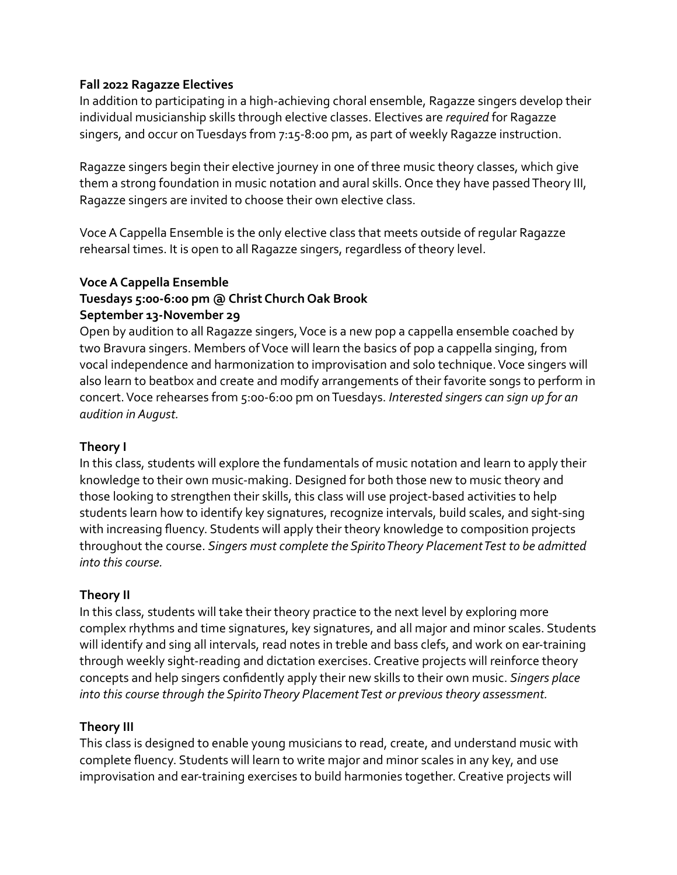## **Fall 2022 Ragazze Electives**

In addition to participating in a high-achieving choral ensemble, Ragazze singers develop their individual musicianship skills through elective classes. Electives are *required* for Ragazze singers, and occur on Tuesdays from 7:15-8:00 pm, as part of weekly Ragazze instruction.

Ragazze singers begin their elective journey in one of three music theory classes, which give them a strong foundation in music notation and aural skills. Once they have passed Theory III, Ragazze singers are invited to choose their own elective class.

Voce A Cappella Ensemble is the only elective class that meets outside of regular Ragazze rehearsal times. It is open to all Ragazze singers, regardless of theory level.

#### **Voce A Cappella Ensemble**

# **Tuesdays 5:00-6:00 pm @ Christ Church Oak Brook**

### **September 13-November 29**

Open by audition to all Ragazze singers, Voce is a new pop a cappella ensemble coached by two Bravura singers. Members of Voce will learn the basics of pop a cappella singing, from vocal independence and harmonization to improvisation and solo technique. Voce singers will also learn to beatbox and create and modify arrangements of their favorite songs to perform in concert. Voce rehearses from 5:00-6:00 pm on Tuesdays. *Interested singers can sign up for an audition in August.*

#### **Theory I**

In this class, students will explore the fundamentals of music notation and learn to apply their knowledge to their own music-making. Designed for both those new to music theory and those looking to strengthen their skills, this class will use project-based activities to help students learn how to identify key signatures, recognize intervals, build scales, and sight-sing with increasing fluency. Students will apply their theory knowledge to composition projects throughout the course. *Singers must complete the Spirito Theory Placement Test to be admitted into this course.*

# **Theory II**

In this class, students will take their theory practice to the next level by exploring more complex rhythms and time signatures, key signatures, and all major and minor scales. Students will identify and sing all intervals, read notes in treble and bass clefs, and work on ear-training through weekly sight-reading and dictation exercises. Creative projects will reinforce theory concepts and help singers confidently apply their new skills to their own music. *Singers place into this course through the Spirito Theory Placement Test or previous theory assessment.* 

# **Theory III**

This class is designed to enable young musicians to read, create, and understand music with complete fluency. Students will learn to write major and minor scales in any key, and use improvisation and ear-training exercises to build harmonies together. Creative projects will